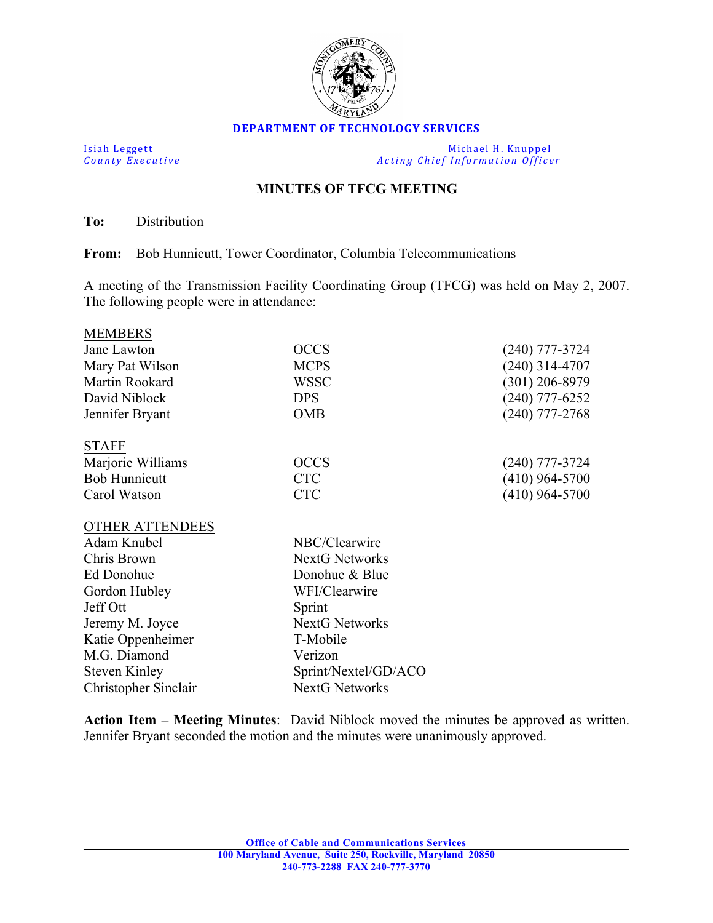

## **DEPARTMENT OF TECHNOLOGY SERVICES**

Isiah Leggett Michael H. Knuppel<br>
County Executive County Executive Acting Chief Information Office *Acting Chief Information Officer* 

## **MINUTES OF TFCG MEETING**

**To:** Distribution

**From:** Bob Hunnicutt, Tower Coordinator, Columbia Telecommunications

A meeting of the Transmission Facility Coordinating Group (TFCG) was held on May 2, 2007. The following people were in attendance:

| <b>MEMBERS</b>         |                       |                  |
|------------------------|-----------------------|------------------|
| Jane Lawton            | <b>OCCS</b>           | (240) 777-3724   |
| Mary Pat Wilson        | <b>MCPS</b>           | $(240)$ 314-4707 |
| Martin Rookard         | WSSC                  | $(301)$ 206-8979 |
| David Niblock          | <b>DPS</b>            | $(240)$ 777-6252 |
| Jennifer Bryant        | <b>OMB</b>            | $(240)$ 777-2768 |
| <b>STAFF</b>           |                       |                  |
| Marjorie Williams      | <b>OCCS</b>           | $(240)$ 777-3724 |
| <b>Bob Hunnicutt</b>   | <b>CTC</b>            | (410) 964-5700   |
| Carol Watson           | <b>CTC</b>            | $(410)$ 964-5700 |
| <b>OTHER ATTENDEES</b> |                       |                  |
| Adam Knubel            | NBC/Clearwire         |                  |
| Chris Brown            | <b>NextG Networks</b> |                  |
| Ed Donohue             | Donohue & Blue        |                  |
| Gordon Hubley          | WFI/Clearwire         |                  |
| Jeff Ott               | Sprint                |                  |
| Jeremy M. Joyce        | <b>NextG Networks</b> |                  |
| Katie Oppenheimer      | T-Mobile              |                  |
| M.G. Diamond           | Verizon               |                  |
| <b>Steven Kinley</b>   | Sprint/Nextel/GD/ACO  |                  |
| Christopher Sinclair   | <b>NextG Networks</b> |                  |
|                        |                       |                  |

**Action Item – Meeting Minutes**: David Niblock moved the minutes be approved as written. Jennifer Bryant seconded the motion and the minutes were unanimously approved.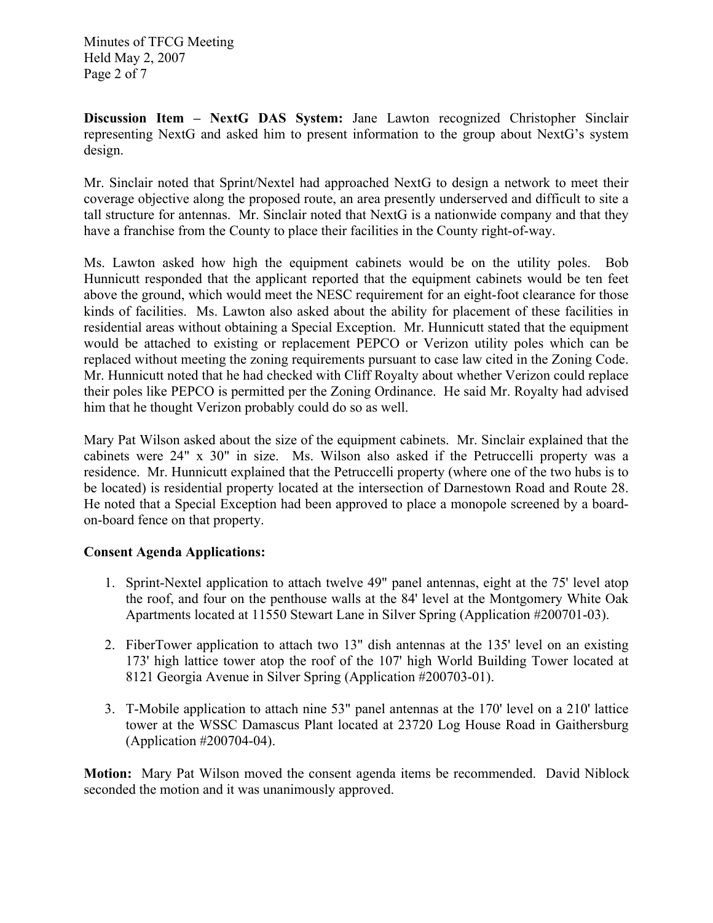Minutes of TFCG Meeting Held May 2, 2007 Page 2 of 7

**Discussion Item – NextG DAS System:** Jane Lawton recognized Christopher Sinclair representing NextG and asked him to present information to the group about NextG's system design.

Mr. Sinclair noted that Sprint/Nextel had approached NextG to design a network to meet their coverage objective along the proposed route, an area presently underserved and difficult to site a tall structure for antennas. Mr. Sinclair noted that NextG is a nationwide company and that they have a franchise from the County to place their facilities in the County right-of-way.

Ms. Lawton asked how high the equipment cabinets would be on the utility poles. Bob Hunnicutt responded that the applicant reported that the equipment cabinets would be ten feet above the ground, which would meet the NESC requirement for an eight-foot clearance for those kinds of facilities. Ms. Lawton also asked about the ability for placement of these facilities in residential areas without obtaining a Special Exception. Mr. Hunnicutt stated that the equipment would be attached to existing or replacement PEPCO or Verizon utility poles which can be replaced without meeting the zoning requirements pursuant to case law cited in the Zoning Code. Mr. Hunnicutt noted that he had checked with Cliff Royalty about whether Verizon could replace their poles like PEPCO is permitted per the Zoning Ordinance. He said Mr. Royalty had advised him that he thought Verizon probably could do so as well.

Mary Pat Wilson asked about the size of the equipment cabinets. Mr. Sinclair explained that the cabinets were 24" x 30" in size. Ms. Wilson also asked if the Petruccelli property was a residence. Mr. Hunnicutt explained that the Petruccelli property (where one of the two hubs is to be located) is residential property located at the intersection of Darnestown Road and Route 28. He noted that a Special Exception had been approved to place a monopole screened by a boardon-board fence on that property.

## **Consent Agenda Applications:**

- 1. Sprint-Nextel application to attach twelve 49" panel antennas, eight at the 75' level atop the roof, and four on the penthouse walls at the 84' level at the Montgomery White Oak Apartments located at 11550 Stewart Lane in Silver Spring (Application #200701-03).
- 2. FiberTower application to attach two 13" dish antennas at the 135' level on an existing 173' high lattice tower atop the roof of the 107' high World Building Tower located at 8121 Georgia Avenue in Silver Spring (Application #200703-01).
- 3. T-Mobile application to attach nine 53" panel antennas at the 170' level on a 210' lattice tower at the WSSC Damascus Plant located at 23720 Log House Road in Gaithersburg (Application #200704-04).

**Motion:** Mary Pat Wilson moved the consent agenda items be recommended. David Niblock seconded the motion and it was unanimously approved.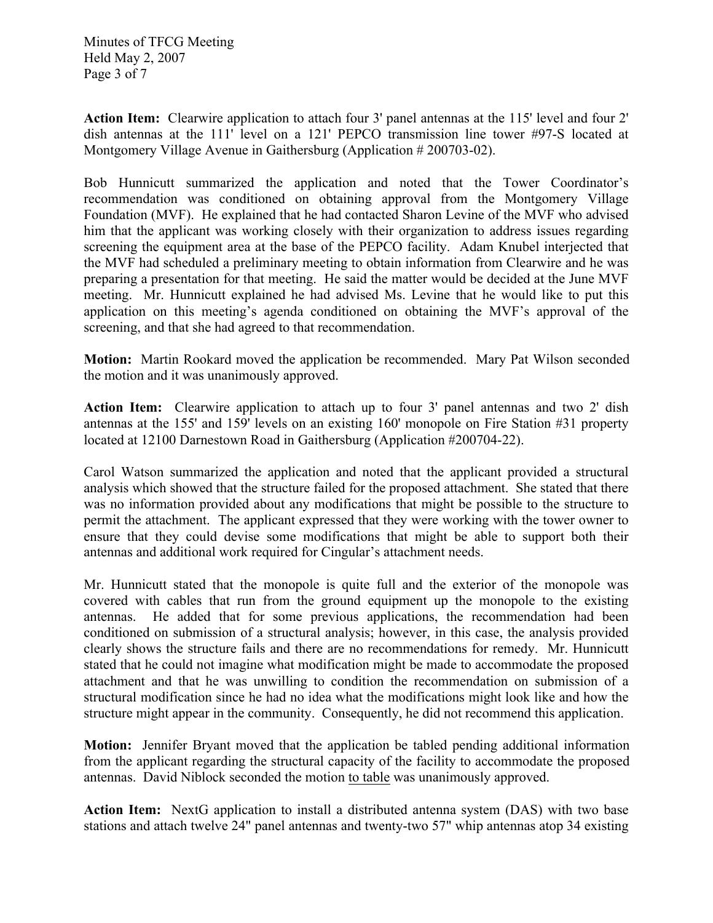Minutes of TFCG Meeting Held May 2, 2007 Page 3 of 7

**Action Item:** Clearwire application to attach four 3' panel antennas at the 115' level and four 2' dish antennas at the 111' level on a 121' PEPCO transmission line tower #97-S located at Montgomery Village Avenue in Gaithersburg (Application # 200703-02).

Bob Hunnicutt summarized the application and noted that the Tower Coordinator's recommendation was conditioned on obtaining approval from the Montgomery Village Foundation (MVF). He explained that he had contacted Sharon Levine of the MVF who advised him that the applicant was working closely with their organization to address issues regarding screening the equipment area at the base of the PEPCO facility. Adam Knubel interjected that the MVF had scheduled a preliminary meeting to obtain information from Clearwire and he was preparing a presentation for that meeting. He said the matter would be decided at the June MVF meeting. Mr. Hunnicutt explained he had advised Ms. Levine that he would like to put this application on this meeting's agenda conditioned on obtaining the MVF's approval of the screening, and that she had agreed to that recommendation.

**Motion:** Martin Rookard moved the application be recommended. Mary Pat Wilson seconded the motion and it was unanimously approved.

**Action Item:** Clearwire application to attach up to four 3' panel antennas and two 2' dish antennas at the 155' and 159' levels on an existing 160' monopole on Fire Station #31 property located at 12100 Darnestown Road in Gaithersburg (Application #200704-22).

Carol Watson summarized the application and noted that the applicant provided a structural analysis which showed that the structure failed for the proposed attachment. She stated that there was no information provided about any modifications that might be possible to the structure to permit the attachment. The applicant expressed that they were working with the tower owner to ensure that they could devise some modifications that might be able to support both their antennas and additional work required for Cingular's attachment needs.

Mr. Hunnicutt stated that the monopole is quite full and the exterior of the monopole was covered with cables that run from the ground equipment up the monopole to the existing antennas. He added that for some previous applications, the recommendation had been conditioned on submission of a structural analysis; however, in this case, the analysis provided clearly shows the structure fails and there are no recommendations for remedy. Mr. Hunnicutt stated that he could not imagine what modification might be made to accommodate the proposed attachment and that he was unwilling to condition the recommendation on submission of a structural modification since he had no idea what the modifications might look like and how the structure might appear in the community. Consequently, he did not recommend this application.

**Motion:** Jennifer Bryant moved that the application be tabled pending additional information from the applicant regarding the structural capacity of the facility to accommodate the proposed antennas. David Niblock seconded the motion to table was unanimously approved.

**Action Item:** NextG application to install a distributed antenna system (DAS) with two base stations and attach twelve 24" panel antennas and twenty-two 57" whip antennas atop 34 existing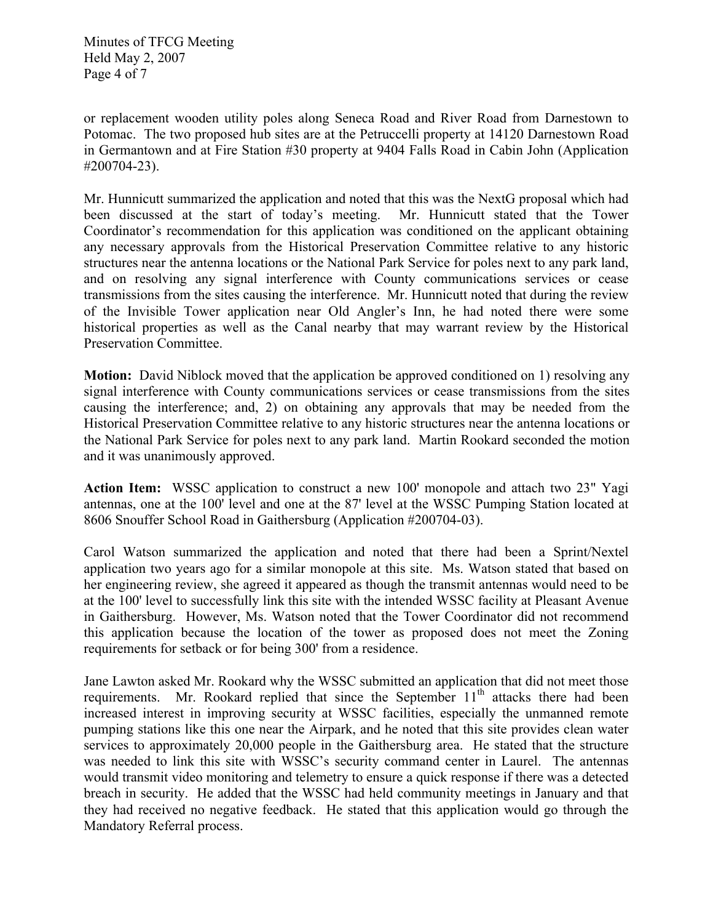Minutes of TFCG Meeting Held May 2, 2007 Page 4 of 7

or replacement wooden utility poles along Seneca Road and River Road from Darnestown to Potomac. The two proposed hub sites are at the Petruccelli property at 14120 Darnestown Road in Germantown and at Fire Station #30 property at 9404 Falls Road in Cabin John (Application #200704-23).

Mr. Hunnicutt summarized the application and noted that this was the NextG proposal which had been discussed at the start of today's meeting. Mr. Hunnicutt stated that the Tower Coordinator's recommendation for this application was conditioned on the applicant obtaining any necessary approvals from the Historical Preservation Committee relative to any historic structures near the antenna locations or the National Park Service for poles next to any park land, and on resolving any signal interference with County communications services or cease transmissions from the sites causing the interference. Mr. Hunnicutt noted that during the review of the Invisible Tower application near Old Angler's Inn, he had noted there were some historical properties as well as the Canal nearby that may warrant review by the Historical Preservation Committee.

**Motion:** David Niblock moved that the application be approved conditioned on 1) resolving any signal interference with County communications services or cease transmissions from the sites causing the interference; and, 2) on obtaining any approvals that may be needed from the Historical Preservation Committee relative to any historic structures near the antenna locations or the National Park Service for poles next to any park land. Martin Rookard seconded the motion and it was unanimously approved.

**Action Item:** WSSC application to construct a new 100' monopole and attach two 23" Yagi antennas, one at the 100' level and one at the 87' level at the WSSC Pumping Station located at 8606 Snouffer School Road in Gaithersburg (Application #200704-03).

Carol Watson summarized the application and noted that there had been a Sprint/Nextel application two years ago for a similar monopole at this site. Ms. Watson stated that based on her engineering review, she agreed it appeared as though the transmit antennas would need to be at the 100' level to successfully link this site with the intended WSSC facility at Pleasant Avenue in Gaithersburg. However, Ms. Watson noted that the Tower Coordinator did not recommend this application because the location of the tower as proposed does not meet the Zoning requirements for setback or for being 300' from a residence.

Jane Lawton asked Mr. Rookard why the WSSC submitted an application that did not meet those requirements. Mr. Rookard replied that since the September  $11<sup>th</sup>$  attacks there had been increased interest in improving security at WSSC facilities, especially the unmanned remote pumping stations like this one near the Airpark, and he noted that this site provides clean water services to approximately 20,000 people in the Gaithersburg area. He stated that the structure was needed to link this site with WSSC's security command center in Laurel. The antennas would transmit video monitoring and telemetry to ensure a quick response if there was a detected breach in security. He added that the WSSC had held community meetings in January and that they had received no negative feedback. He stated that this application would go through the Mandatory Referral process.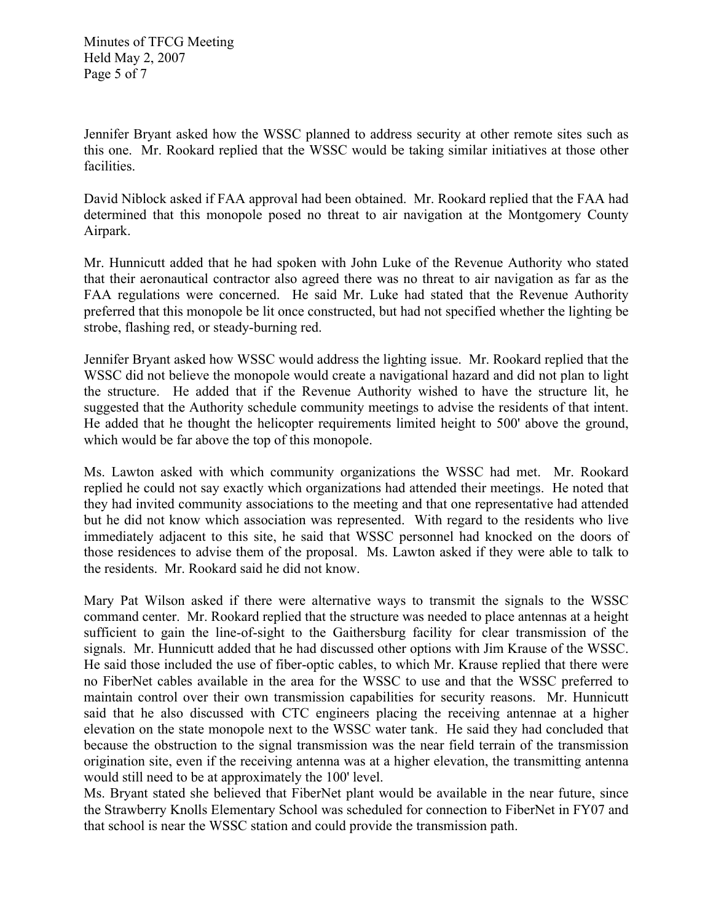Minutes of TFCG Meeting Held May 2, 2007 Page 5 of 7

Jennifer Bryant asked how the WSSC planned to address security at other remote sites such as this one. Mr. Rookard replied that the WSSC would be taking similar initiatives at those other facilities.

David Niblock asked if FAA approval had been obtained. Mr. Rookard replied that the FAA had determined that this monopole posed no threat to air navigation at the Montgomery County Airpark.

Mr. Hunnicutt added that he had spoken with John Luke of the Revenue Authority who stated that their aeronautical contractor also agreed there was no threat to air navigation as far as the FAA regulations were concerned. He said Mr. Luke had stated that the Revenue Authority preferred that this monopole be lit once constructed, but had not specified whether the lighting be strobe, flashing red, or steady-burning red.

Jennifer Bryant asked how WSSC would address the lighting issue. Mr. Rookard replied that the WSSC did not believe the monopole would create a navigational hazard and did not plan to light the structure. He added that if the Revenue Authority wished to have the structure lit, he suggested that the Authority schedule community meetings to advise the residents of that intent. He added that he thought the helicopter requirements limited height to 500' above the ground, which would be far above the top of this monopole.

Ms. Lawton asked with which community organizations the WSSC had met. Mr. Rookard replied he could not say exactly which organizations had attended their meetings. He noted that they had invited community associations to the meeting and that one representative had attended but he did not know which association was represented. With regard to the residents who live immediately adjacent to this site, he said that WSSC personnel had knocked on the doors of those residences to advise them of the proposal. Ms. Lawton asked if they were able to talk to the residents. Mr. Rookard said he did not know.

Mary Pat Wilson asked if there were alternative ways to transmit the signals to the WSSC command center. Mr. Rookard replied that the structure was needed to place antennas at a height sufficient to gain the line-of-sight to the Gaithersburg facility for clear transmission of the signals. Mr. Hunnicutt added that he had discussed other options with Jim Krause of the WSSC. He said those included the use of fiber-optic cables, to which Mr. Krause replied that there were no FiberNet cables available in the area for the WSSC to use and that the WSSC preferred to maintain control over their own transmission capabilities for security reasons. Mr. Hunnicutt said that he also discussed with CTC engineers placing the receiving antennae at a higher elevation on the state monopole next to the WSSC water tank. He said they had concluded that because the obstruction to the signal transmission was the near field terrain of the transmission origination site, even if the receiving antenna was at a higher elevation, the transmitting antenna would still need to be at approximately the 100' level.

Ms. Bryant stated she believed that FiberNet plant would be available in the near future, since the Strawberry Knolls Elementary School was scheduled for connection to FiberNet in FY07 and that school is near the WSSC station and could provide the transmission path.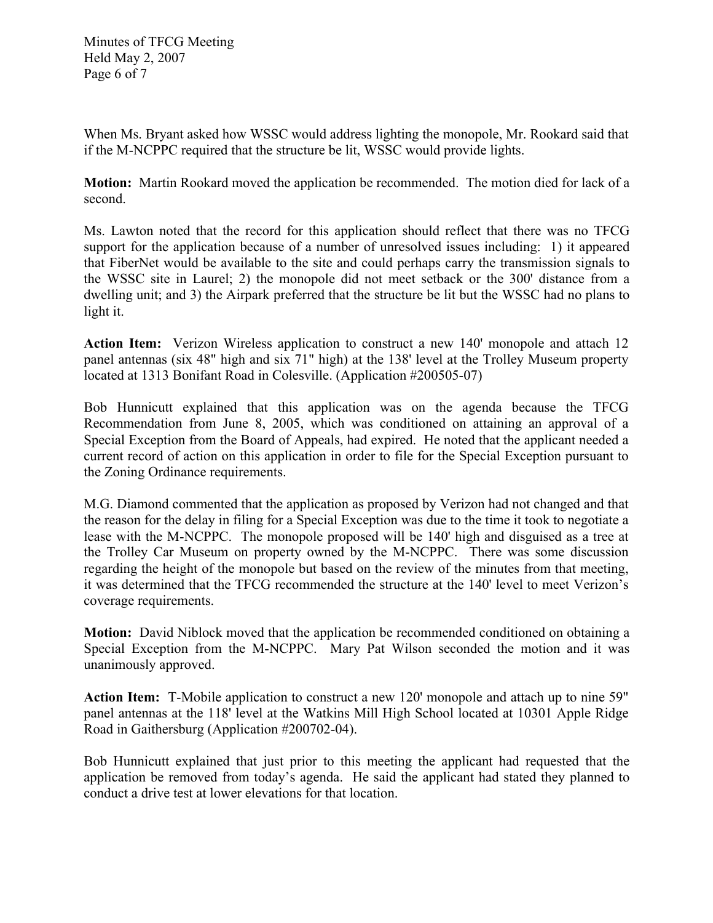Minutes of TFCG Meeting Held May 2, 2007 Page 6 of 7

When Ms. Bryant asked how WSSC would address lighting the monopole, Mr. Rookard said that if the M-NCPPC required that the structure be lit, WSSC would provide lights.

**Motion:** Martin Rookard moved the application be recommended. The motion died for lack of a second.

Ms. Lawton noted that the record for this application should reflect that there was no TFCG support for the application because of a number of unresolved issues including: 1) it appeared that FiberNet would be available to the site and could perhaps carry the transmission signals to the WSSC site in Laurel; 2) the monopole did not meet setback or the 300' distance from a dwelling unit; and 3) the Airpark preferred that the structure be lit but the WSSC had no plans to light it.

**Action Item:** Verizon Wireless application to construct a new 140' monopole and attach 12 panel antennas (six 48" high and six 71" high) at the 138' level at the Trolley Museum property located at 1313 Bonifant Road in Colesville. (Application #200505-07)

Bob Hunnicutt explained that this application was on the agenda because the TFCG Recommendation from June 8, 2005, which was conditioned on attaining an approval of a Special Exception from the Board of Appeals, had expired. He noted that the applicant needed a current record of action on this application in order to file for the Special Exception pursuant to the Zoning Ordinance requirements.

M.G. Diamond commented that the application as proposed by Verizon had not changed and that the reason for the delay in filing for a Special Exception was due to the time it took to negotiate a lease with the M-NCPPC. The monopole proposed will be 140' high and disguised as a tree at the Trolley Car Museum on property owned by the M-NCPPC. There was some discussion regarding the height of the monopole but based on the review of the minutes from that meeting, it was determined that the TFCG recommended the structure at the 140' level to meet Verizon's coverage requirements.

**Motion:** David Niblock moved that the application be recommended conditioned on obtaining a Special Exception from the M-NCPPC. Mary Pat Wilson seconded the motion and it was unanimously approved.

**Action Item:** T-Mobile application to construct a new 120' monopole and attach up to nine 59" panel antennas at the 118' level at the Watkins Mill High School located at 10301 Apple Ridge Road in Gaithersburg (Application #200702-04).

Bob Hunnicutt explained that just prior to this meeting the applicant had requested that the application be removed from today's agenda. He said the applicant had stated they planned to conduct a drive test at lower elevations for that location.